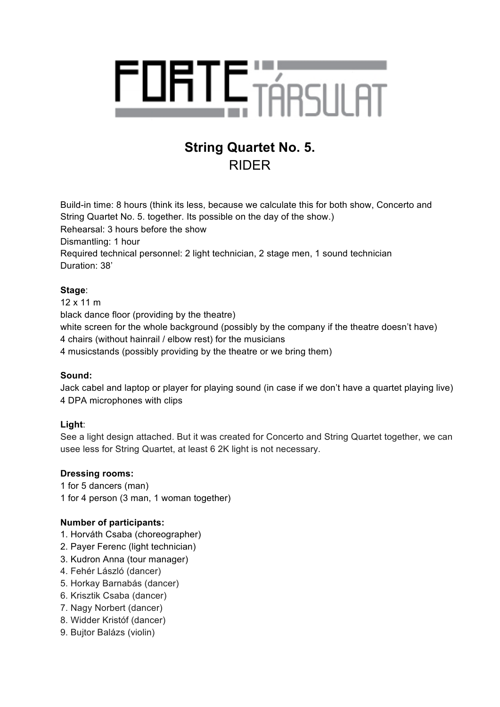

# **String Quartet No. 5.** RIDER

Build-in time: 8 hours (think its less, because we calculate this for both show, Concerto and String Quartet No. 5. together. Its possible on the day of the show.) Rehearsal: 3 hours before the show Dismantling: 1 hour

Required technical personnel: 2 light technician, 2 stage men, 1 sound technician Duration: 38'

# **Stage**:

12 x 11 m black dance floor (providing by the theatre) white screen for the whole background (possibly by the company if the theatre doesn't have) 4 chairs (without hainrail / elbow rest) for the musicians 4 musicstands (possibly providing by the theatre or we bring them)

# **Sound:**

Jack cabel and laptop or player for playing sound (in case if we don't have a quartet playing live) 4 DPA microphones with clips

# **Light**:

See a light design attached. But it was created for Concerto and String Quartet together, we can usee less for String Quartet, at least 6 2K light is not necessary.

## **Dressing rooms:**

1 for 5 dancers (man) 1 for 4 person (3 man, 1 woman together)

## **Number of participants:**

- 1. Horváth Csaba (choreographer)
- 2. Payer Ferenc (light technician)
- 3. Kudron Anna (tour manager)
- 4. Fehér László (dancer)
- 5. Horkay Barnabás (dancer)
- 6. Krisztik Csaba (dancer)
- 7. Nagy Norbert (dancer)
- 8. Widder Kristóf (dancer)
- 9. Bujtor Balázs (violin)